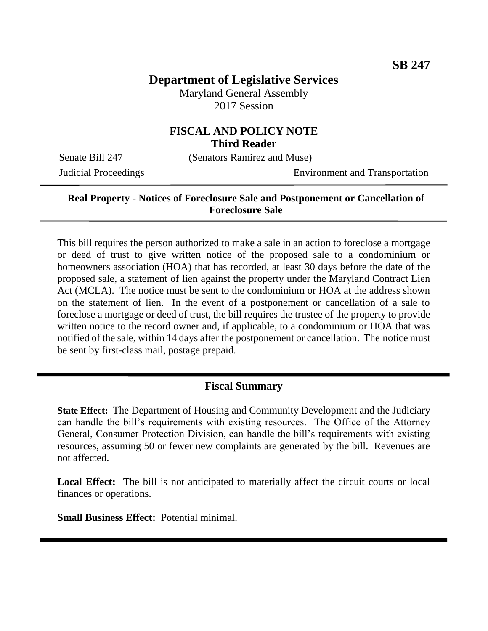# **Department of Legislative Services**

Maryland General Assembly 2017 Session

### **FISCAL AND POLICY NOTE Third Reader**

Senate Bill 247 (Senators Ramirez and Muse)

Judicial Proceedings Environment and Transportation

#### **Real Property - Notices of Foreclosure Sale and Postponement or Cancellation of Foreclosure Sale**

This bill requires the person authorized to make a sale in an action to foreclose a mortgage or deed of trust to give written notice of the proposed sale to a condominium or homeowners association (HOA) that has recorded, at least 30 days before the date of the proposed sale, a statement of lien against the property under the Maryland Contract Lien Act (MCLA). The notice must be sent to the condominium or HOA at the address shown on the statement of lien. In the event of a postponement or cancellation of a sale to foreclose a mortgage or deed of trust, the bill requires the trustee of the property to provide written notice to the record owner and, if applicable, to a condominium or HOA that was notified of the sale, within 14 days after the postponement or cancellation. The notice must be sent by first-class mail, postage prepaid.

#### **Fiscal Summary**

**State Effect:** The Department of Housing and Community Development and the Judiciary can handle the bill's requirements with existing resources. The Office of the Attorney General, Consumer Protection Division, can handle the bill's requirements with existing resources, assuming 50 or fewer new complaints are generated by the bill. Revenues are not affected.

Local Effect: The bill is not anticipated to materially affect the circuit courts or local finances or operations.

**Small Business Effect:** Potential minimal.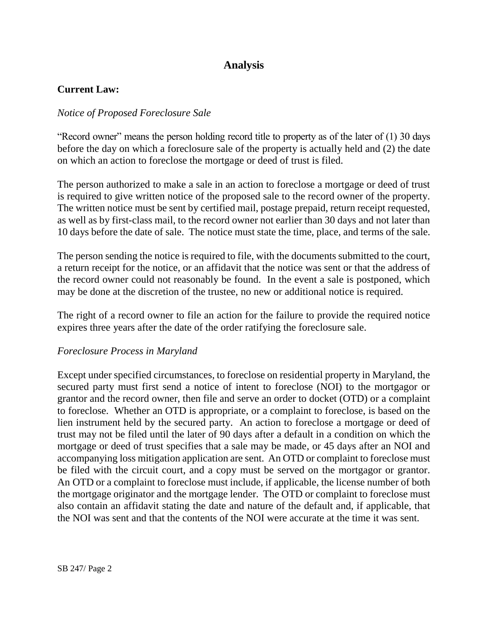# **Analysis**

#### **Current Law:**

#### *Notice of Proposed Foreclosure Sale*

"Record owner" means the person holding record title to property as of the later of (1) 30 days before the day on which a foreclosure sale of the property is actually held and (2) the date on which an action to foreclose the mortgage or deed of trust is filed.

The person authorized to make a sale in an action to foreclose a mortgage or deed of trust is required to give written notice of the proposed sale to the record owner of the property. The written notice must be sent by certified mail, postage prepaid, return receipt requested, as well as by first-class mail, to the record owner not earlier than 30 days and not later than 10 days before the date of sale. The notice must state the time, place, and terms of the sale.

The person sending the notice is required to file, with the documents submitted to the court, a return receipt for the notice, or an affidavit that the notice was sent or that the address of the record owner could not reasonably be found. In the event a sale is postponed, which may be done at the discretion of the trustee, no new or additional notice is required.

The right of a record owner to file an action for the failure to provide the required notice expires three years after the date of the order ratifying the foreclosure sale.

#### *Foreclosure Process in Maryland*

Except under specified circumstances, to foreclose on residential property in Maryland, the secured party must first send a notice of intent to foreclose (NOI) to the mortgagor or grantor and the record owner, then file and serve an order to docket (OTD) or a complaint to foreclose. Whether an OTD is appropriate, or a complaint to foreclose, is based on the lien instrument held by the secured party. An action to foreclose a mortgage or deed of trust may not be filed until the later of 90 days after a default in a condition on which the mortgage or deed of trust specifies that a sale may be made, or 45 days after an NOI and accompanying loss mitigation application are sent. An OTD or complaint to foreclose must be filed with the circuit court, and a copy must be served on the mortgagor or grantor. An OTD or a complaint to foreclose must include, if applicable, the license number of both the mortgage originator and the mortgage lender. The OTD or complaint to foreclose must also contain an affidavit stating the date and nature of the default and, if applicable, that the NOI was sent and that the contents of the NOI were accurate at the time it was sent.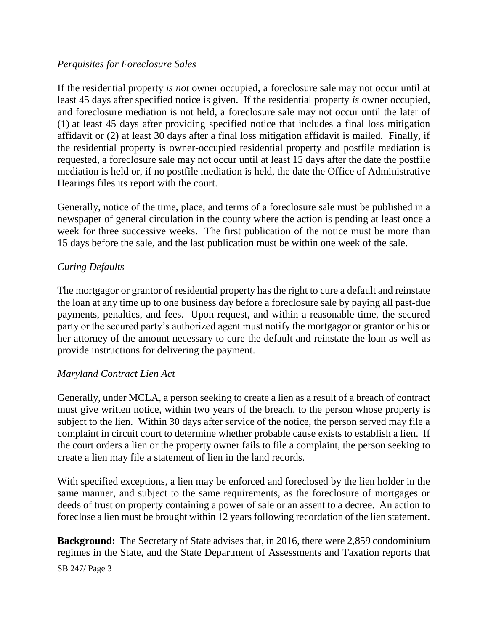#### *Perquisites for Foreclosure Sales*

If the residential property *is not* owner occupied, a foreclosure sale may not occur until at least 45 days after specified notice is given. If the residential property *is* owner occupied, and foreclosure mediation is not held, a foreclosure sale may not occur until the later of (1) at least 45 days after providing specified notice that includes a final loss mitigation affidavit or (2) at least 30 days after a final loss mitigation affidavit is mailed. Finally, if the residential property is owner-occupied residential property and postfile mediation is requested, a foreclosure sale may not occur until at least 15 days after the date the postfile mediation is held or, if no postfile mediation is held, the date the Office of Administrative Hearings files its report with the court.

Generally, notice of the time, place, and terms of a foreclosure sale must be published in a newspaper of general circulation in the county where the action is pending at least once a week for three successive weeks. The first publication of the notice must be more than 15 days before the sale, and the last publication must be within one week of the sale.

#### *Curing Defaults*

The mortgagor or grantor of residential property has the right to cure a default and reinstate the loan at any time up to one business day before a foreclosure sale by paying all past-due payments, penalties, and fees. Upon request, and within a reasonable time, the secured party or the secured party's authorized agent must notify the mortgagor or grantor or his or her attorney of the amount necessary to cure the default and reinstate the loan as well as provide instructions for delivering the payment.

#### *Maryland Contract Lien Act*

Generally, under MCLA, a person seeking to create a lien as a result of a breach of contract must give written notice, within two years of the breach, to the person whose property is subject to the lien. Within 30 days after service of the notice, the person served may file a complaint in circuit court to determine whether probable cause exists to establish a lien. If the court orders a lien or the property owner fails to file a complaint, the person seeking to create a lien may file a statement of lien in the land records.

With specified exceptions, a lien may be enforced and foreclosed by the lien holder in the same manner, and subject to the same requirements, as the foreclosure of mortgages or deeds of trust on property containing a power of sale or an assent to a decree. An action to foreclose a lien must be brought within 12 years following recordation of the lien statement.

**Background:** The Secretary of State advises that, in 2016, there were 2,859 condominium regimes in the State, and the State Department of Assessments and Taxation reports that

SB 247/ Page 3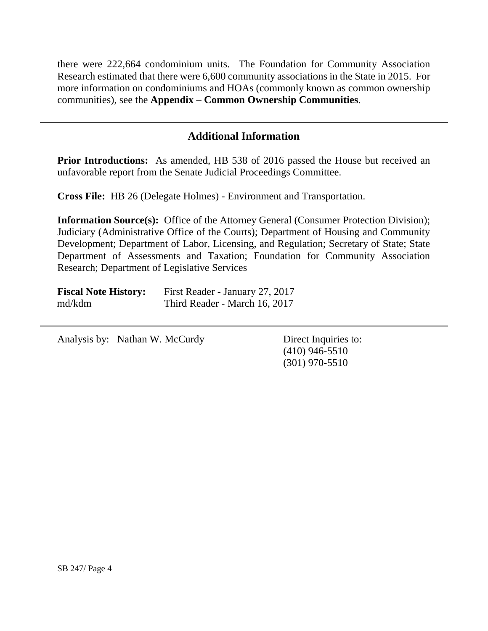there were 222,664 condominium units. The Foundation for Community Association Research estimated that there were 6,600 community associations in the State in 2015. For more information on condominiums and HOAs (commonly known as common ownership communities), see the **Appendix – Common Ownership Communities**.

## **Additional Information**

**Prior Introductions:** As amended, HB 538 of 2016 passed the House but received an unfavorable report from the Senate Judicial Proceedings Committee.

**Cross File:** HB 26 (Delegate Holmes) - Environment and Transportation.

**Information Source(s):** Office of the Attorney General (Consumer Protection Division); Judiciary (Administrative Office of the Courts); Department of Housing and Community Development; Department of Labor, Licensing, and Regulation; Secretary of State; State Department of Assessments and Taxation; Foundation for Community Association Research; Department of Legislative Services

| <b>Fiscal Note History:</b> | First Reader - January 27, 2017 |
|-----------------------------|---------------------------------|
| md/kdm                      | Third Reader - March 16, 2017   |

Analysis by: Nathan W. McCurdy Direct Inquiries to:

(410) 946-5510 (301) 970-5510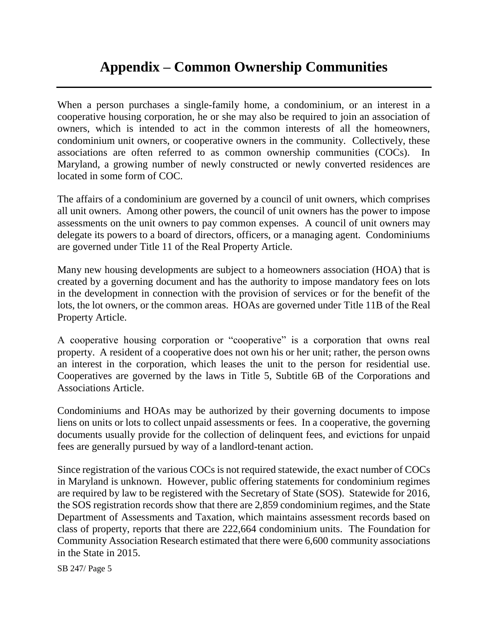# **Appendix – Common Ownership Communities**

When a person purchases a single-family home, a condominium, or an interest in a cooperative housing corporation, he or she may also be required to join an association of owners, which is intended to act in the common interests of all the homeowners, condominium unit owners, or cooperative owners in the community. Collectively, these associations are often referred to as common ownership communities (COCs). In Maryland, a growing number of newly constructed or newly converted residences are located in some form of COC.

The affairs of a condominium are governed by a council of unit owners, which comprises all unit owners. Among other powers, the council of unit owners has the power to impose assessments on the unit owners to pay common expenses. A council of unit owners may delegate its powers to a board of directors, officers, or a managing agent. Condominiums are governed under Title 11 of the Real Property Article.

Many new housing developments are subject to a homeowners association (HOA) that is created by a governing document and has the authority to impose mandatory fees on lots in the development in connection with the provision of services or for the benefit of the lots, the lot owners, or the common areas. HOAs are governed under Title 11B of the Real Property Article.

A cooperative housing corporation or "cooperative" is a corporation that owns real property. A resident of a cooperative does not own his or her unit; rather, the person owns an interest in the corporation, which leases the unit to the person for residential use. Cooperatives are governed by the laws in Title 5, Subtitle 6B of the Corporations and Associations Article.

Condominiums and HOAs may be authorized by their governing documents to impose liens on units or lots to collect unpaid assessments or fees. In a cooperative, the governing documents usually provide for the collection of delinquent fees, and evictions for unpaid fees are generally pursued by way of a landlord-tenant action.

Since registration of the various COCs is not required statewide, the exact number of COCs in Maryland is unknown. However, public offering statements for condominium regimes are required by law to be registered with the Secretary of State (SOS). Statewide for 2016, the SOS registration records show that there are 2,859 condominium regimes, and the State Department of Assessments and Taxation, which maintains assessment records based on class of property, reports that there are 222,664 condominium units. The Foundation for Community Association Research estimated that there were 6,600 community associations in the State in 2015.

SB 247/ Page 5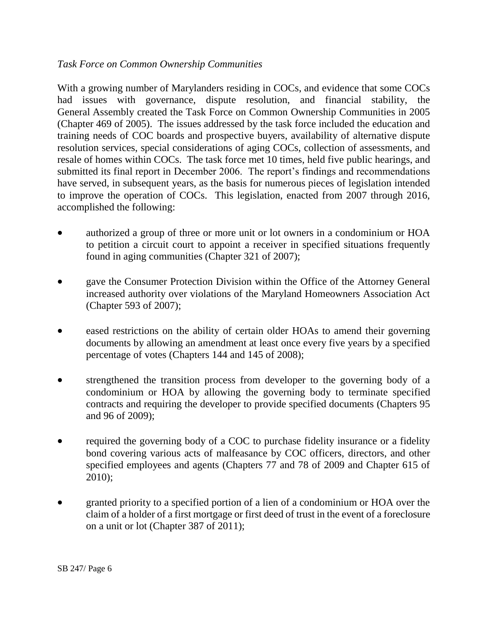#### *Task Force on Common Ownership Communities*

With a growing number of Marylanders residing in COCs, and evidence that some COCs had issues with governance, dispute resolution, and financial stability, the General Assembly created the Task Force on Common Ownership Communities in 2005 (Chapter 469 of 2005). The issues addressed by the task force included the education and training needs of COC boards and prospective buyers, availability of alternative dispute resolution services, special considerations of aging COCs, collection of assessments, and resale of homes within COCs. The task force met 10 times, held five public hearings, and submitted its final report in December 2006. The report's findings and recommendations have served, in subsequent years, as the basis for numerous pieces of legislation intended to improve the operation of COCs. This legislation, enacted from 2007 through 2016, accomplished the following:

- authorized a group of three or more unit or lot owners in a condominium or HOA to petition a circuit court to appoint a receiver in specified situations frequently found in aging communities (Chapter 321 of 2007);
- gave the Consumer Protection Division within the Office of the Attorney General increased authority over violations of the Maryland Homeowners Association Act (Chapter 593 of 2007);
- eased restrictions on the ability of certain older HOAs to amend their governing documents by allowing an amendment at least once every five years by a specified percentage of votes (Chapters 144 and 145 of 2008);
- strengthened the transition process from developer to the governing body of a condominium or HOA by allowing the governing body to terminate specified contracts and requiring the developer to provide specified documents (Chapters 95 and 96 of 2009);
- required the governing body of a COC to purchase fidelity insurance or a fidelity bond covering various acts of malfeasance by COC officers, directors, and other specified employees and agents (Chapters 77 and 78 of 2009 and Chapter 615 of 2010);
- granted priority to a specified portion of a lien of a condominium or HOA over the claim of a holder of a first mortgage or first deed of trust in the event of a foreclosure on a unit or lot (Chapter 387 of 2011);